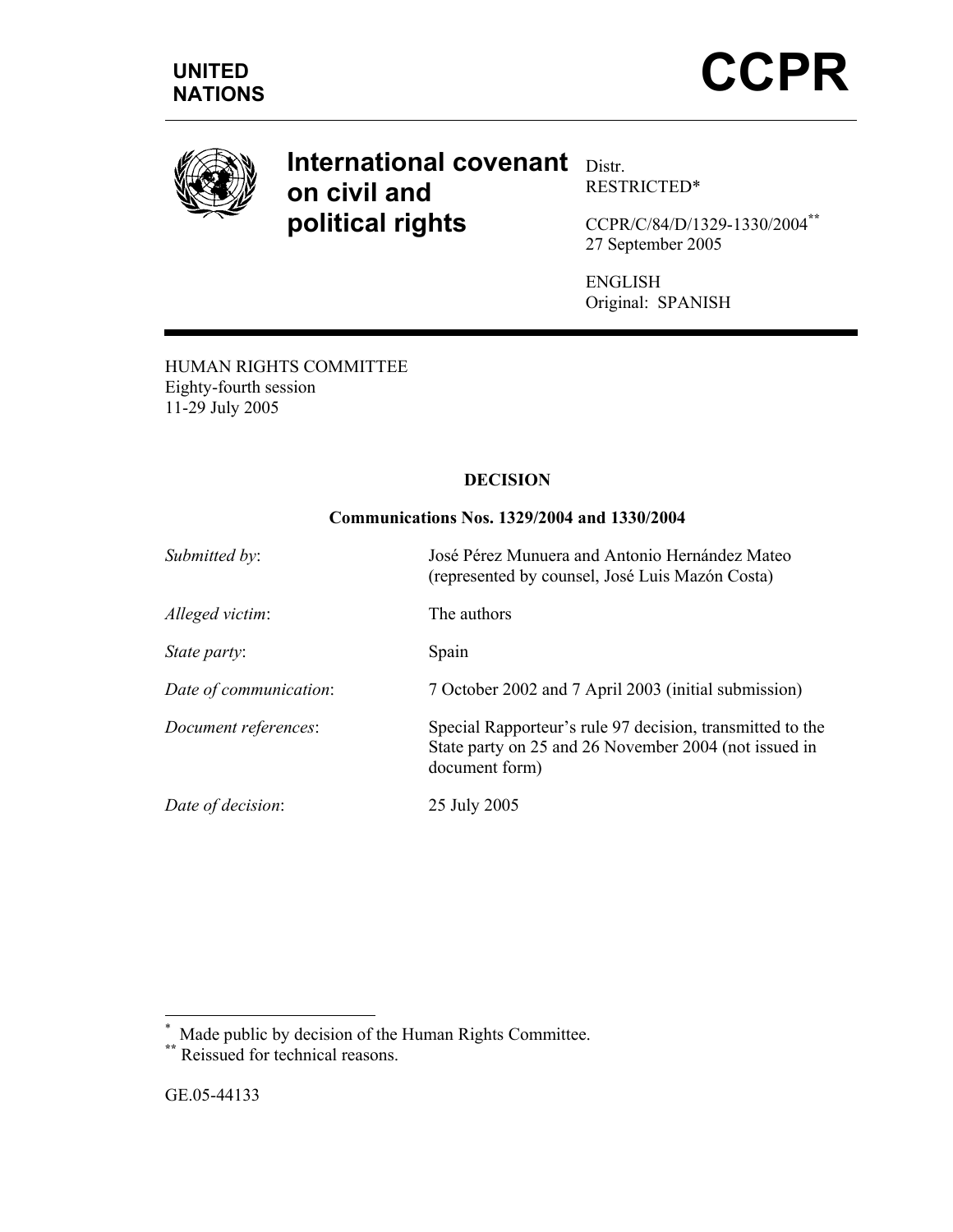

# **International covenant** Distr. **on civil and political rights**

RESTRICTED\*

CCPR/C/84/D/1329-1330/2004**\*\*** 27 September 2005

ENGLISH Original: SPANISH

HUMAN RIGHTS COMMITTEE Eighty-fourth session 11-29 July 2005

## **DECISION**

## **Communications Nos. 1329/2004 and 1330/2004**

| Submitted by:          | José Pérez Munuera and Antonio Hernández Mateo<br>(represented by counsel, José Luis Mazón Costa)                                    |
|------------------------|--------------------------------------------------------------------------------------------------------------------------------------|
| Alleged victim:        | The authors                                                                                                                          |
| <i>State party:</i>    | Spain                                                                                                                                |
| Date of communication: | 7 October 2002 and 7 April 2003 (initial submission)                                                                                 |
| Document references:   | Special Rapporteur's rule 97 decision, transmitted to the<br>State party on 25 and 26 November 2004 (not issued in<br>document form) |
| Date of decision:      | 25 July 2005                                                                                                                         |

\* Made public by decision of the Human Rights Committee.

**<sup>\*\*</sup>** Reissued for technical reasons.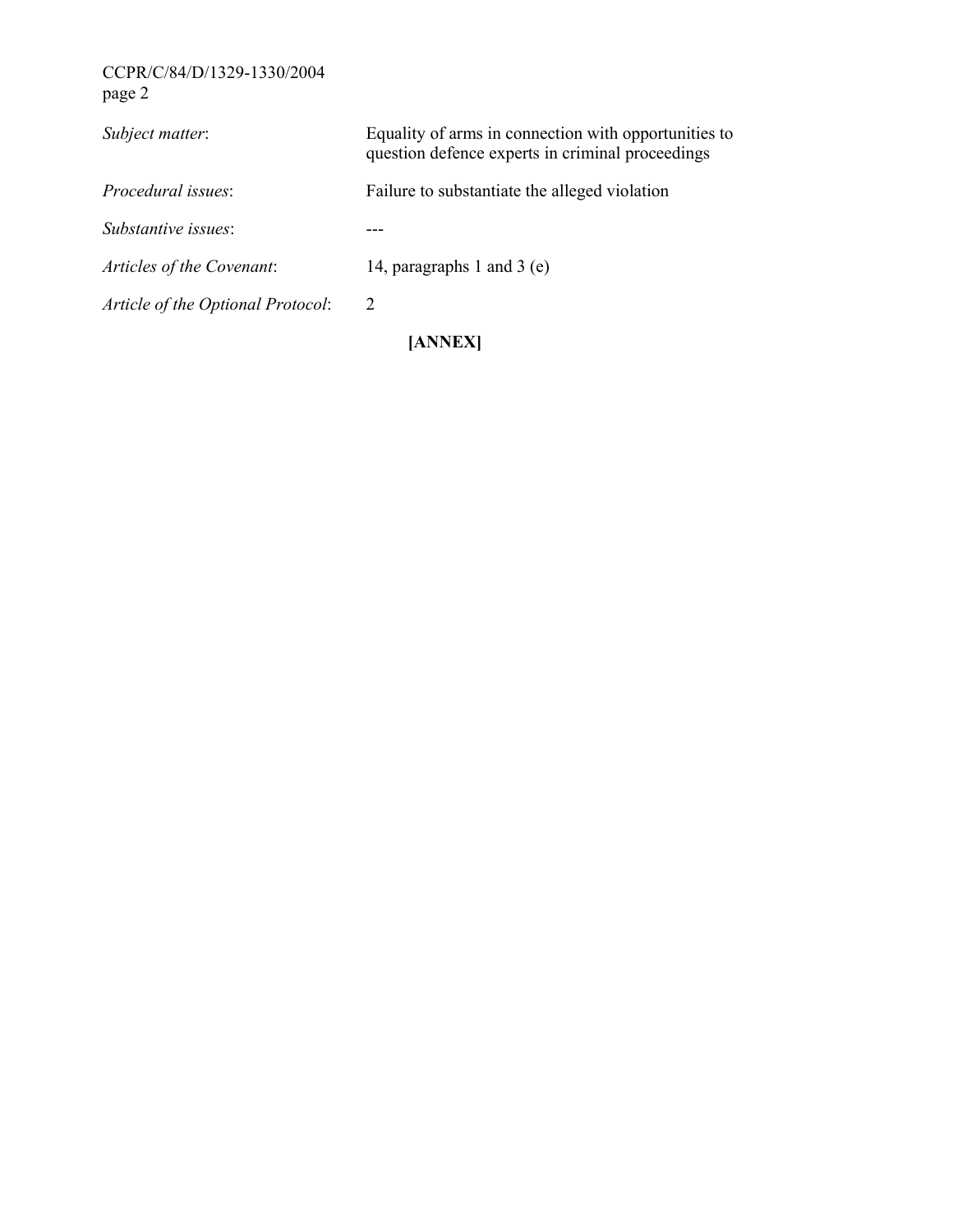# CCPR/C/84/D/1329-1330/2004 page 2

| Subject matter:                   | Equality of arms in connection with opportunities to<br>question defence experts in criminal proceedings |
|-----------------------------------|----------------------------------------------------------------------------------------------------------|
| Procedural issues                 | Failure to substantiate the alleged violation                                                            |
| <i>Substantive issues:</i>        |                                                                                                          |
| Articles of the Covenant:         | 14, paragraphs 1 and 3 $(e)$                                                                             |
| Article of the Optional Protocol: | 2                                                                                                        |
|                                   | AANEXI                                                                                                   |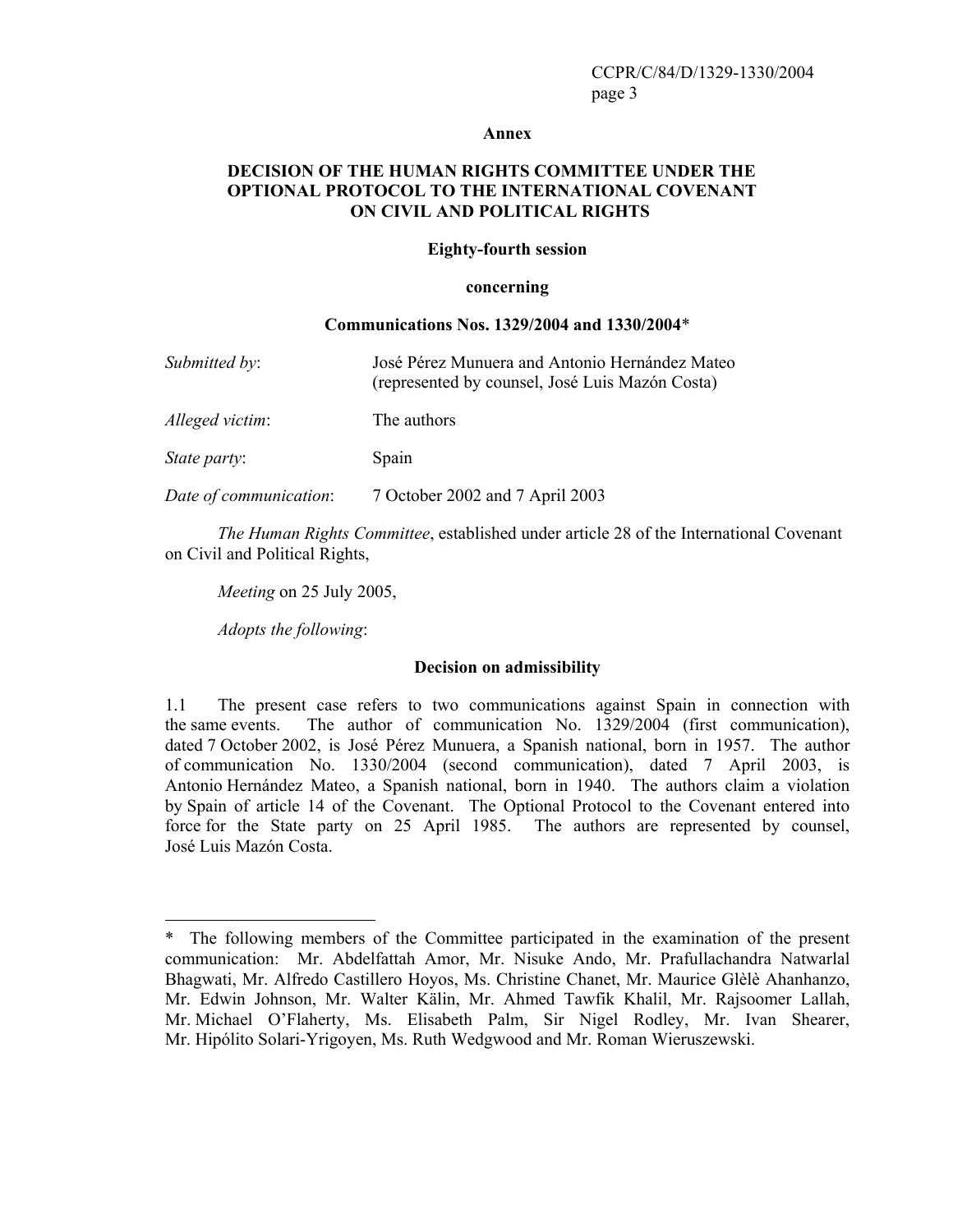#### **Annex**

## **DECISION OF THE HUMAN RIGHTS COMMITTEE UNDER THE OPTIONAL PROTOCOL TO THE INTERNATIONAL COVENANT ON CIVIL AND POLITICAL RIGHTS**

#### **Eighty-fourth session**

#### **concerning**

#### **Communications Nos. 1329/2004 and 1330/2004**\*

| Submitted by:          | José Pérez Munuera and Antonio Hernández Mateo<br>(represented by counsel, José Luis Mazón Costa) |
|------------------------|---------------------------------------------------------------------------------------------------|
| Alleged victim:        | The authors                                                                                       |
| <i>State party:</i>    | Spain                                                                                             |
| Date of communication: | 7 October 2002 and 7 April 2003                                                                   |

 *The Human Rights Committee*, established under article 28 of the International Covenant on Civil and Political Rights,

*Meeting* on 25 July 2005,

*Adopts the following*:

 $\overline{a}$ 

#### **Decision on admissibility**

1.1 The present case refers to two communications against Spain in connection with the same events. The author of communication No. 1329/2004 (first communication), dated 7 October 2002, is José Pérez Munuera, a Spanish national, born in 1957. The author of communication No. 1330/2004 (second communication), dated 7 April 2003, is Antonio Hernández Mateo, a Spanish national, born in 1940. The authors claim a violation by Spain of article 14 of the Covenant. The Optional Protocol to the Covenant entered into force for the State party on 25 April 1985. The authors are represented by counsel, José Luis Mazón Costa.

<sup>\*</sup> The following members of the Committee participated in the examination of the present communication: Mr. Abdelfattah Amor, Mr. Nisuke Ando, Mr. Prafullachandra Natwarlal Bhagwati, Mr. Alfredo Castillero Hoyos, Ms. Christine Chanet, Mr. Maurice Glèlè Ahanhanzo, Mr. Edwin Johnson, Mr. Walter Kälin, Mr. Ahmed Tawfik Khalil, Mr. Rajsoomer Lallah, Mr. Michael O'Flaherty, Ms. Elisabeth Palm, Sir Nigel Rodley, Mr. Ivan Shearer, Mr. Hipólito Solari-Yrigoyen, Ms. Ruth Wedgwood and Mr. Roman Wieruszewski.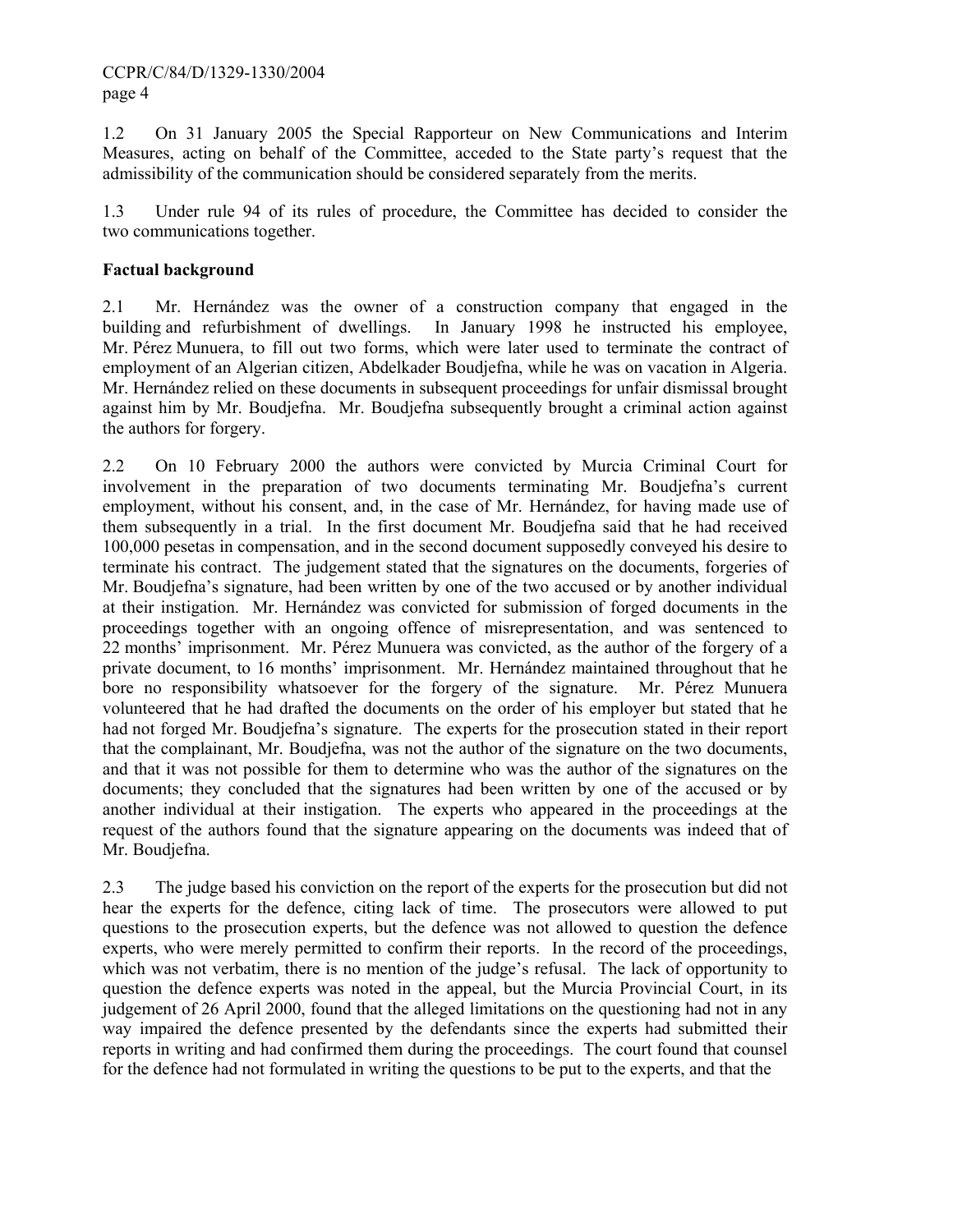## CCPR/C/84/D/1329-1330/2004 page 4

1.2 On 31 January 2005 the Special Rapporteur on New Communications and Interim Measures, acting on behalf of the Committee, acceded to the State party's request that the admissibility of the communication should be considered separately from the merits.

1.3 Under rule 94 of its rules of procedure, the Committee has decided to consider the two communications together.

## **Factual background**

2.1 Mr. Hernández was the owner of a construction company that engaged in the building and refurbishment of dwellings. In January 1998 he instructed his employee, Mr. Pérez Munuera, to fill out two forms, which were later used to terminate the contract of employment of an Algerian citizen, Abdelkader Boudjefna, while he was on vacation in Algeria. Mr. Hernández relied on these documents in subsequent proceedings for unfair dismissal brought against him by Mr. Boudjefna. Mr. Boudjefna subsequently brought a criminal action against the authors for forgery.

2.2 On 10 February 2000 the authors were convicted by Murcia Criminal Court for involvement in the preparation of two documents terminating Mr. Boudjefna's current employment, without his consent, and, in the case of Mr. Hernández, for having made use of them subsequently in a trial. In the first document Mr. Boudjefna said that he had received 100,000 pesetas in compensation, and in the second document supposedly conveyed his desire to terminate his contract. The judgement stated that the signatures on the documents, forgeries of Mr. Boudjefna's signature, had been written by one of the two accused or by another individual at their instigation. Mr. Hernández was convicted for submission of forged documents in the proceedings together with an ongoing offence of misrepresentation, and was sentenced to 22 months' imprisonment. Mr. Pérez Munuera was convicted, as the author of the forgery of a private document, to 16 months' imprisonment. Mr. Hernández maintained throughout that he bore no responsibility whatsoever for the forgery of the signature. Mr. Pérez Munuera volunteered that he had drafted the documents on the order of his employer but stated that he had not forged Mr. Boudjefna's signature. The experts for the prosecution stated in their report that the complainant, Mr. Boudjefna, was not the author of the signature on the two documents, and that it was not possible for them to determine who was the author of the signatures on the documents; they concluded that the signatures had been written by one of the accused or by another individual at their instigation. The experts who appeared in the proceedings at the request of the authors found that the signature appearing on the documents was indeed that of Mr. Boudjefna.

2.3 The judge based his conviction on the report of the experts for the prosecution but did not hear the experts for the defence, citing lack of time. The prosecutors were allowed to put questions to the prosecution experts, but the defence was not allowed to question the defence experts, who were merely permitted to confirm their reports. In the record of the proceedings, which was not verbatim, there is no mention of the judge's refusal. The lack of opportunity to question the defence experts was noted in the appeal, but the Murcia Provincial Court, in its judgement of 26 April 2000, found that the alleged limitations on the questioning had not in any way impaired the defence presented by the defendants since the experts had submitted their reports in writing and had confirmed them during the proceedings. The court found that counsel for the defence had not formulated in writing the questions to be put to the experts, and that the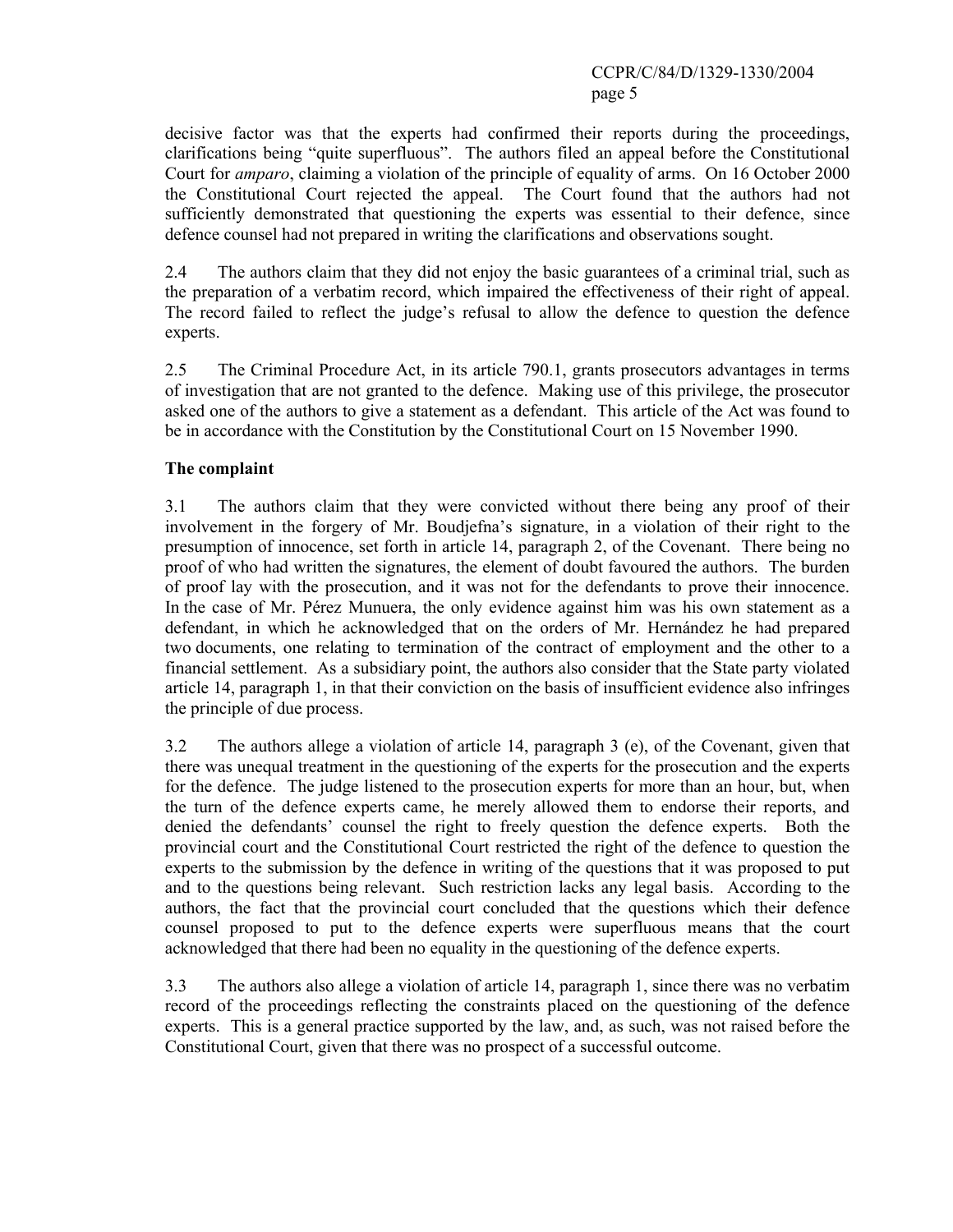decisive factor was that the experts had confirmed their reports during the proceedings, clarifications being "quite superfluous". The authors filed an appeal before the Constitutional Court for *amparo*, claiming a violation of the principle of equality of arms. On 16 October 2000 the Constitutional Court rejected the appeal. The Court found that the authors had not sufficiently demonstrated that questioning the experts was essential to their defence, since defence counsel had not prepared in writing the clarifications and observations sought.

2.4 The authors claim that they did not enjoy the basic guarantees of a criminal trial, such as the preparation of a verbatim record, which impaired the effectiveness of their right of appeal. The record failed to reflect the judge's refusal to allow the defence to question the defence experts.

2.5 The Criminal Procedure Act, in its article 790.1, grants prosecutors advantages in terms of investigation that are not granted to the defence. Making use of this privilege, the prosecutor asked one of the authors to give a statement as a defendant. This article of the Act was found to be in accordance with the Constitution by the Constitutional Court on 15 November 1990.

## **The complaint**

3.1 The authors claim that they were convicted without there being any proof of their involvement in the forgery of Mr. Boudjefna's signature, in a violation of their right to the presumption of innocence, set forth in article 14, paragraph 2, of the Covenant. There being no proof of who had written the signatures, the element of doubt favoured the authors. The burden of proof lay with the prosecution, and it was not for the defendants to prove their innocence. In the case of Mr. Pérez Munuera, the only evidence against him was his own statement as a defendant, in which he acknowledged that on the orders of Mr. Hernández he had prepared two documents, one relating to termination of the contract of employment and the other to a financial settlement. As a subsidiary point, the authors also consider that the State party violated article 14, paragraph 1, in that their conviction on the basis of insufficient evidence also infringes the principle of due process.

3.2 The authors allege a violation of article 14, paragraph 3 (e), of the Covenant, given that there was unequal treatment in the questioning of the experts for the prosecution and the experts for the defence. The judge listened to the prosecution experts for more than an hour, but, when the turn of the defence experts came, he merely allowed them to endorse their reports, and denied the defendants' counsel the right to freely question the defence experts. Both the provincial court and the Constitutional Court restricted the right of the defence to question the experts to the submission by the defence in writing of the questions that it was proposed to put and to the questions being relevant. Such restriction lacks any legal basis. According to the authors, the fact that the provincial court concluded that the questions which their defence counsel proposed to put to the defence experts were superfluous means that the court acknowledged that there had been no equality in the questioning of the defence experts.

3.3 The authors also allege a violation of article 14, paragraph 1, since there was no verbatim record of the proceedings reflecting the constraints placed on the questioning of the defence experts. This is a general practice supported by the law, and, as such, was not raised before the Constitutional Court, given that there was no prospect of a successful outcome.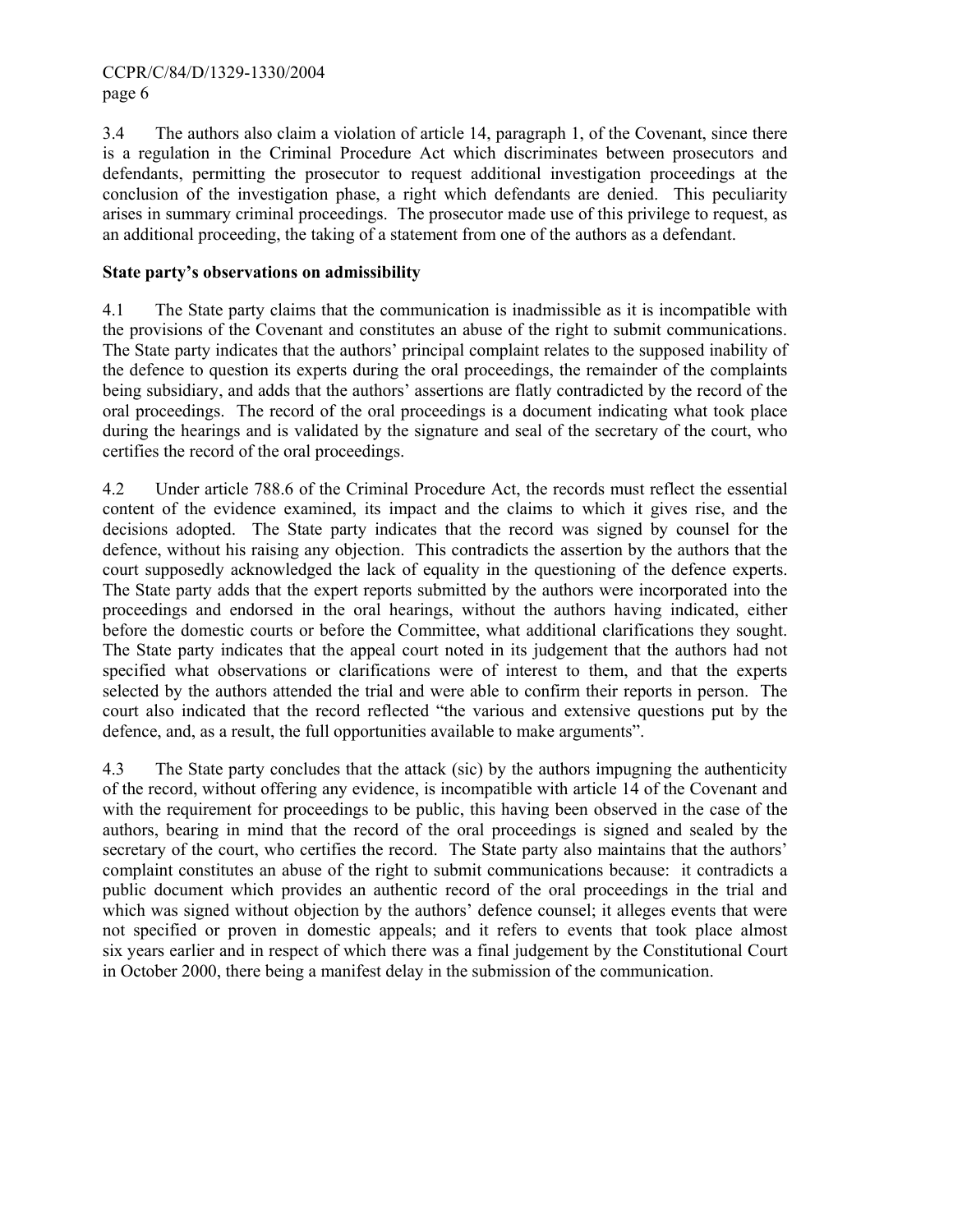3.4 The authors also claim a violation of article 14, paragraph 1, of the Covenant, since there is a regulation in the Criminal Procedure Act which discriminates between prosecutors and defendants, permitting the prosecutor to request additional investigation proceedings at the conclusion of the investigation phase, a right which defendants are denied. This peculiarity arises in summary criminal proceedings. The prosecutor made use of this privilege to request, as an additional proceeding, the taking of a statement from one of the authors as a defendant.

## **State party's observations on admissibility**

4.1 The State party claims that the communication is inadmissible as it is incompatible with the provisions of the Covenant and constitutes an abuse of the right to submit communications. The State party indicates that the authors' principal complaint relates to the supposed inability of the defence to question its experts during the oral proceedings, the remainder of the complaints being subsidiary, and adds that the authors' assertions are flatly contradicted by the record of the oral proceedings. The record of the oral proceedings is a document indicating what took place during the hearings and is validated by the signature and seal of the secretary of the court, who certifies the record of the oral proceedings.

4.2 Under article 788.6 of the Criminal Procedure Act, the records must reflect the essential content of the evidence examined, its impact and the claims to which it gives rise, and the decisions adopted. The State party indicates that the record was signed by counsel for the defence, without his raising any objection. This contradicts the assertion by the authors that the court supposedly acknowledged the lack of equality in the questioning of the defence experts. The State party adds that the expert reports submitted by the authors were incorporated into the proceedings and endorsed in the oral hearings, without the authors having indicated, either before the domestic courts or before the Committee, what additional clarifications they sought. The State party indicates that the appeal court noted in its judgement that the authors had not specified what observations or clarifications were of interest to them, and that the experts selected by the authors attended the trial and were able to confirm their reports in person. The court also indicated that the record reflected "the various and extensive questions put by the defence, and, as a result, the full opportunities available to make arguments".

4.3 The State party concludes that the attack (sic) by the authors impugning the authenticity of the record, without offering any evidence, is incompatible with article 14 of the Covenant and with the requirement for proceedings to be public, this having been observed in the case of the authors, bearing in mind that the record of the oral proceedings is signed and sealed by the secretary of the court, who certifies the record. The State party also maintains that the authors' complaint constitutes an abuse of the right to submit communications because: it contradicts a public document which provides an authentic record of the oral proceedings in the trial and which was signed without objection by the authors' defence counsel; it alleges events that were not specified or proven in domestic appeals; and it refers to events that took place almost six years earlier and in respect of which there was a final judgement by the Constitutional Court in October 2000, there being a manifest delay in the submission of the communication.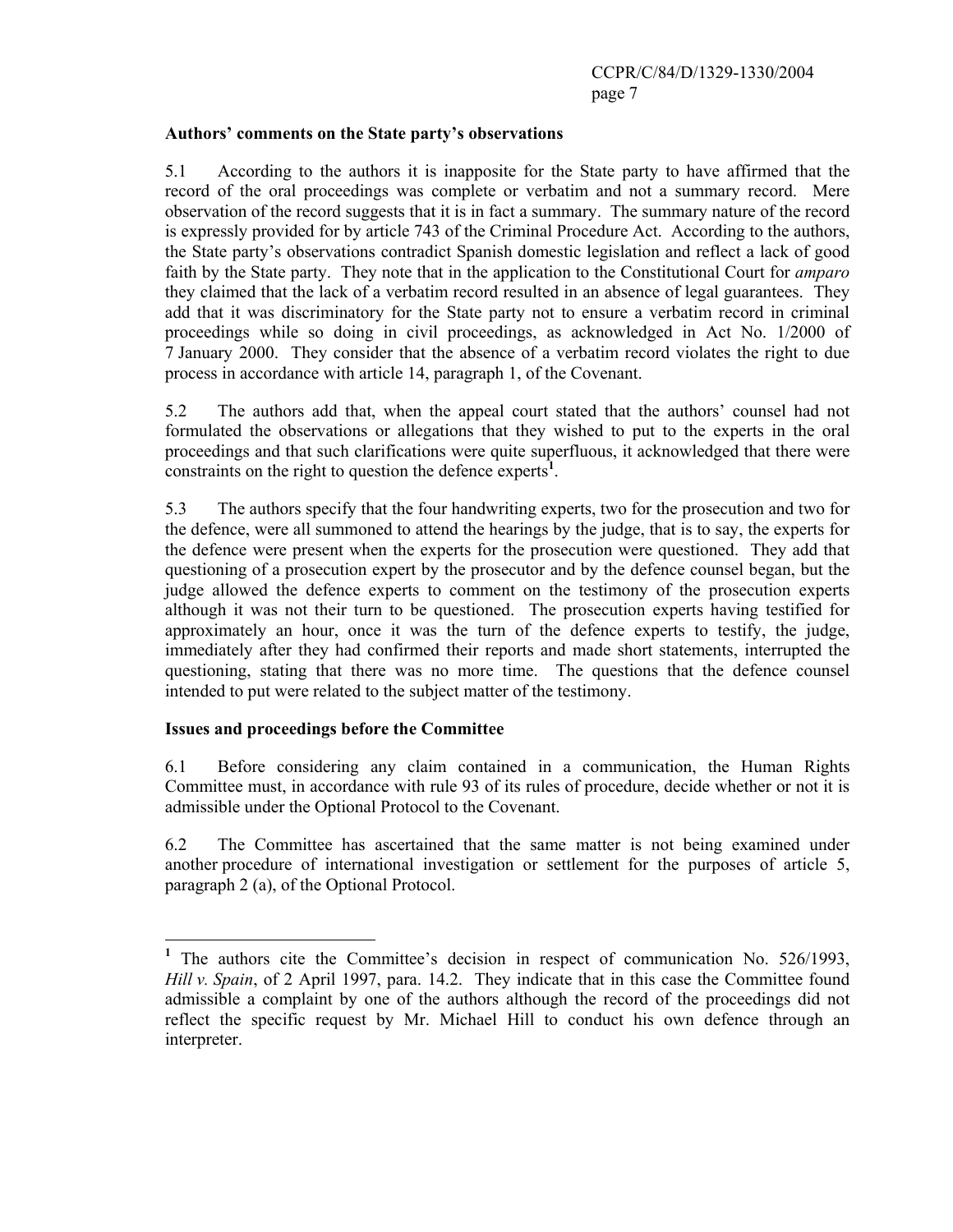### **Authors' comments on the State party's observations**

5.1 According to the authors it is inapposite for the State party to have affirmed that the record of the oral proceedings was complete or verbatim and not a summary record. Mere observation of the record suggests that it is in fact a summary. The summary nature of the record is expressly provided for by article 743 of the Criminal Procedure Act. According to the authors, the State party's observations contradict Spanish domestic legislation and reflect a lack of good faith by the State party. They note that in the application to the Constitutional Court for *amparo* they claimed that the lack of a verbatim record resulted in an absence of legal guarantees. They add that it was discriminatory for the State party not to ensure a verbatim record in criminal proceedings while so doing in civil proceedings, as acknowledged in Act No. 1/2000 of 7 January 2000. They consider that the absence of a verbatim record violates the right to due process in accordance with article 14, paragraph 1, of the Covenant.

5.2 The authors add that, when the appeal court stated that the authors' counsel had not formulated the observations or allegations that they wished to put to the experts in the oral proceedings and that such clarifications were quite superfluous, it acknowledged that there were constraints on the right to question the defence experts<sup>1</sup>.

5.3 The authors specify that the four handwriting experts, two for the prosecution and two for the defence, were all summoned to attend the hearings by the judge, that is to say, the experts for the defence were present when the experts for the prosecution were questioned. They add that questioning of a prosecution expert by the prosecutor and by the defence counsel began, but the judge allowed the defence experts to comment on the testimony of the prosecution experts although it was not their turn to be questioned. The prosecution experts having testified for approximately an hour, once it was the turn of the defence experts to testify, the judge, immediately after they had confirmed their reports and made short statements, interrupted the questioning, stating that there was no more time. The questions that the defence counsel intended to put were related to the subject matter of the testimony.

### **Issues and proceedings before the Committee**

6.1 Before considering any claim contained in a communication, the Human Rights Committee must, in accordance with rule 93 of its rules of procedure, decide whether or not it is admissible under the Optional Protocol to the Covenant.

6.2 The Committee has ascertained that the same matter is not being examined under another procedure of international investigation or settlement for the purposes of article 5, paragraph 2 (a), of the Optional Protocol.

<sup>&</sup>lt;sup>1</sup> The authors cite the Committee's decision in respect of communication No. 526/1993, *Hill v. Spain*, of 2 April 1997, para. 14.2. They indicate that in this case the Committee found admissible a complaint by one of the authors although the record of the proceedings did not reflect the specific request by Mr. Michael Hill to conduct his own defence through an interpreter.